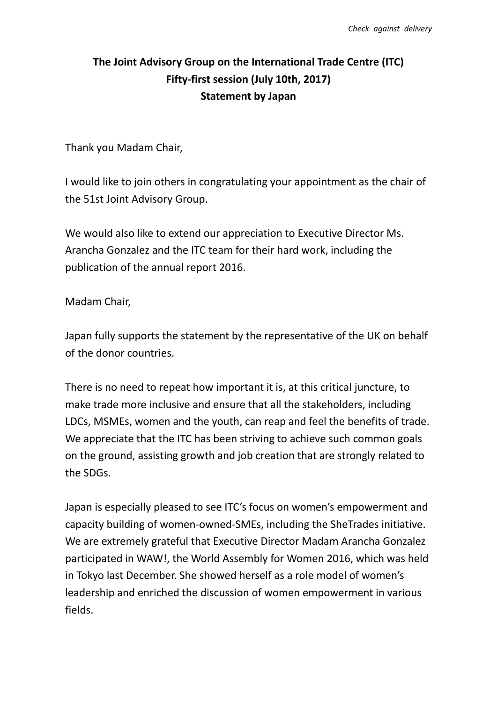## **The Joint Advisory Group on the International Trade Centre (ITC) Fifty-first session (July 10th, 2017) Statement by Japan**

Thank you Madam Chair,

I would like to join others in congratulating your appointment as the chair of the 51st Joint Advisory Group.

We would also like to extend our appreciation to Executive Director Ms. Arancha Gonzalez and the ITC team for their hard work, including the publication of the annual report 2016.

Madam Chair,

Japan fully supports the statement by the representative of the UK on behalf of the donor countries.

There is no need to repeat how important it is, at this critical juncture, to make trade more inclusive and ensure that all the stakeholders, including LDCs, MSMEs, women and the youth, can reap and feel the benefits of trade. We appreciate that the ITC has been striving to achieve such common goals on the ground, assisting growth and job creation that are strongly related to the SDGs.

Japan is especially pleased to see ITC's focus on women's empowerment and capacity building of women-owned-SMEs, including the SheTrades initiative. We are extremely grateful that Executive Director Madam Arancha Gonzalez participated in WAW!, the World Assembly for Women 2016, which was held in Tokyo last December. She showed herself as a role model of women's leadership and enriched the discussion of women empowerment in various fields.